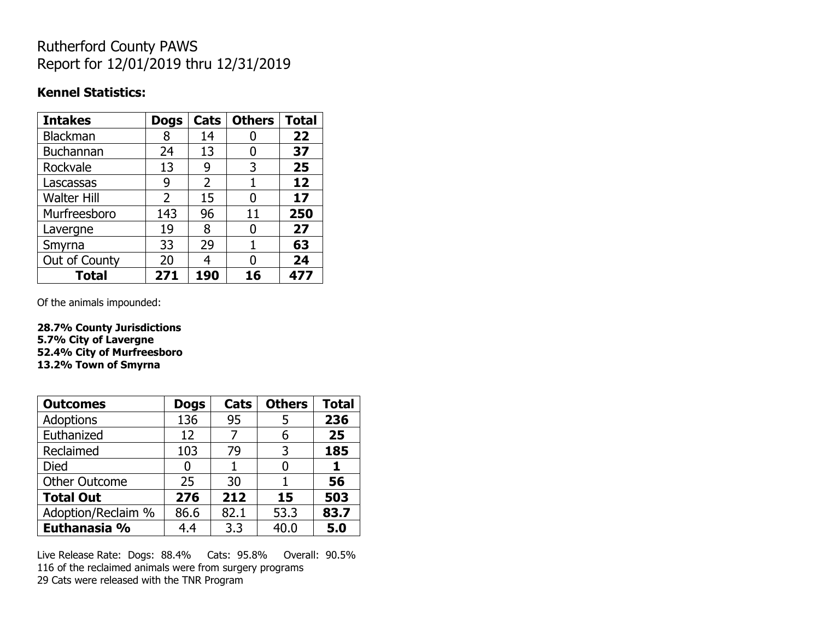## Rutherford County PAWS Report for 12/01/2019 thru 12/31/2019

#### **Kennel Statistics:**

| <b>Intakes</b>     | <b>Dogs</b>    | Cats           | <b>Others</b> | <b>Total</b> |
|--------------------|----------------|----------------|---------------|--------------|
| Blackman           | 8              | 14             |               | 22           |
| Buchannan          | 24             | 13             | 0             | 37           |
| Rockvale           | 13             | 9              | 3             | 25           |
| Lascassas          | 9              | $\overline{2}$ |               | 12           |
| <b>Walter Hill</b> | $\overline{2}$ | 15             | O             | 17           |
| Murfreesboro       | 143            | 96             | 11            | 250          |
| Lavergne           | 19             | 8              | 0             | 27           |
| Smyrna             | 33             | 29             | 1             | 63           |
| Out of County      | 20             | 4              | O             | 24           |
| <b>Total</b>       | 271            | 190            | 16            | 477          |

Of the animals impounded:

**28.7% County Jurisdictions 5.7% City of Lavergne 52.4% City of Murfreesboro 13.2% Town of Smyrna**

| <b>Outcomes</b>      | <b>Dogs</b> | Cats | <b>Others</b> | <b>Total</b> |
|----------------------|-------------|------|---------------|--------------|
| Adoptions            | 136         | 95   | 5             | 236          |
| Euthanized           | 12          |      | 6             | 25           |
| Reclaimed            | 103         | 79   | 3             | 185          |
| Died                 | 0           |      |               |              |
| <b>Other Outcome</b> | 25          | 30   |               | 56           |
| <b>Total Out</b>     | 276         | 212  | 15            | 503          |
| Adoption/Reclaim %   | 86.6        | 82.1 | 53.3          | 83.7         |
| Euthanasia %         | 4.4         | 3.3  | 40.0          | 5.0          |

Live Release Rate: Dogs: 88.4% Cats: 95.8% Overall: 90.5% 116 of the reclaimed animals were from surgery programs 29 Cats were released with the TNR Program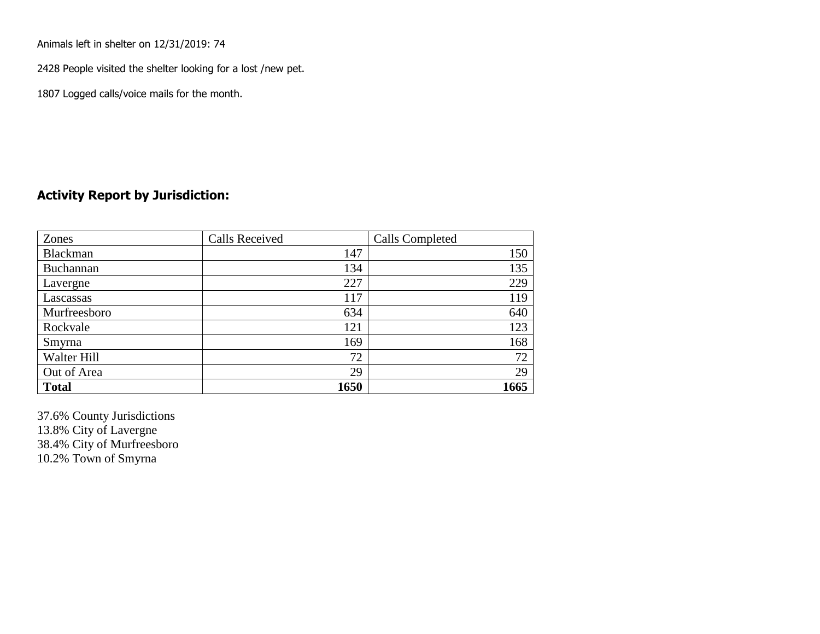Animals left in shelter on 12/31/2019: 74

2428 People visited the shelter looking for a lost /new pet.

1807 Logged calls/voice mails for the month.

### **Activity Report by Jurisdiction:**

| Zones           | <b>Calls Received</b> | Calls Completed |
|-----------------|-----------------------|-----------------|
| <b>Blackman</b> | 147                   | 150             |
| Buchannan       | 134                   | 135             |
| Lavergne        | 227                   | 229             |
| Lascassas       | 117                   | 119             |
| Murfreesboro    | 634                   | 640             |
| Rockvale        | 121                   | 123             |
| Smyrna          | 169                   | 168             |
| Walter Hill     | 72                    | 72              |
| Out of Area     | 29                    | 29              |
| <b>Total</b>    | 1650                  | 1665            |

37.6% County Jurisdictions 13.8% City of Lavergne 38.4% City of Murfreesboro 10.2% Town of Smyrna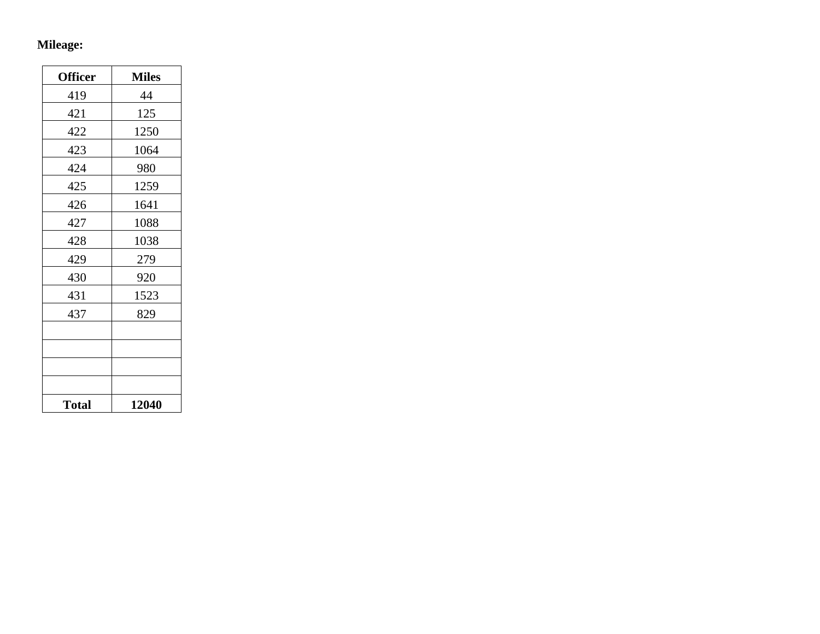# **Mileage:**

| <b>Officer</b> | <b>Miles</b> |
|----------------|--------------|
| 419            | 44           |
| 421            | 125          |
| 422            | 1250         |
| 423            | 1064         |
| 424            | 980          |
| 425            | 1259         |
| 426            | 1641         |
| 427            | 1088         |
| 428            | 1038         |
| 429            | 279          |
| 430            | 920          |
| 431            | 1523         |
| 437            | 829          |
|                |              |
|                |              |
|                |              |
|                |              |
| <b>Total</b>   | 12040        |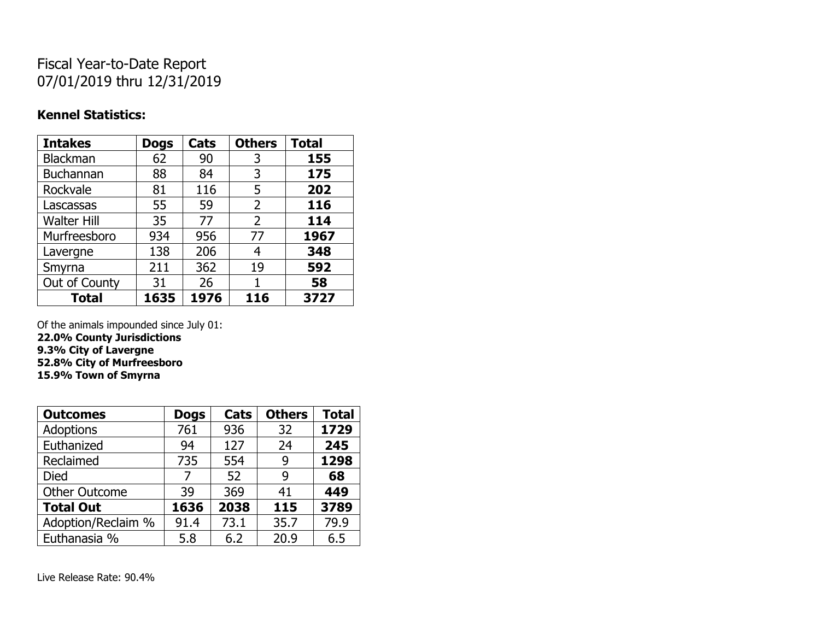## Fiscal Year-to-Date Report 07/01/2019 thru 12/31/2019

### **Kennel Statistics:**

| <b>Intakes</b>     | <b>Dogs</b> | Cats | <b>Others</b>  | <b>Total</b> |
|--------------------|-------------|------|----------------|--------------|
| Blackman           | 62          | 90   | 3              | 155          |
| <b>Buchannan</b>   | 88          | 84   | 3              | 175          |
| Rockvale           | 81          | 116  | 5              | 202          |
| Lascassas          | 55          | 59   | $\overline{2}$ | 116          |
| <b>Walter Hill</b> | 35          | 77   | 2              | 114          |
| Murfreesboro       | 934         | 956  | 77             | 1967         |
| Lavergne           | 138         | 206  | 4              | 348          |
| Smyrna             | 211         | 362  | 19             | 592          |
| Out of County      | 31          | 26   | 1              | 58           |
| <b>Total</b>       | 1635        | 1976 | 116            | 3727         |

Of the animals impounded since July 01:

**22.0% County Jurisdictions 9.3% City of Lavergne 52.8% City of Murfreesboro**

**15.9% Town of Smyrna**

| <b>Outcomes</b>      | <b>Dogs</b> | Cats | <b>Others</b> | <b>Total</b> |
|----------------------|-------------|------|---------------|--------------|
| <b>Adoptions</b>     | 761         | 936  | 32            | 1729         |
| Euthanized           | 94          | 127  | 24            | 245          |
| Reclaimed            | 735         | 554  | 9             | 1298         |
| Died                 | 7           | 52   | 9             | 68           |
| <b>Other Outcome</b> | 39          | 369  | 41            | 449          |
| <b>Total Out</b>     | 1636        | 2038 | 115           | 3789         |
| Adoption/Reclaim %   | 91.4        | 73.1 | 35.7          | 79.9         |
| Euthanasia %         | 5.8         | 6.2  | 20.9          | 6.5          |

Live Release Rate: 90.4%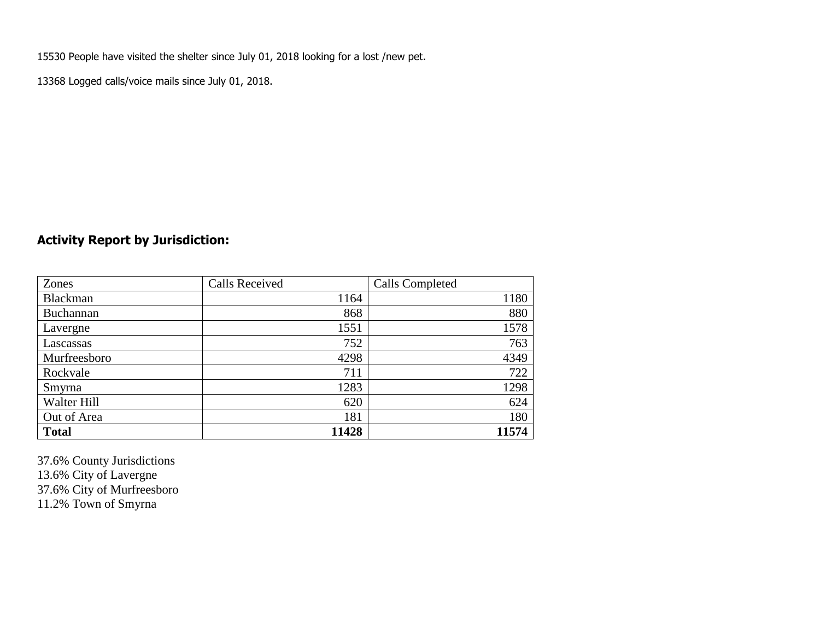15530 People have visited the shelter since July 01, 2018 looking for a lost /new pet.

13368 Logged calls/voice mails since July 01, 2018.

## **Activity Report by Jurisdiction:**

| Zones           | <b>Calls Received</b> | Calls Completed |
|-----------------|-----------------------|-----------------|
| <b>Blackman</b> | 1164                  | 1180            |
| Buchannan       | 868                   | 880             |
| Lavergne        | 1551                  | 1578            |
| Lascassas       | 752                   | 763             |
| Murfreesboro    | 4298                  | 4349            |
| Rockvale        | 711                   | 722             |
| Smyrna          | 1283                  | 1298            |
| Walter Hill     | 620                   | 624             |
| Out of Area     | 181                   | 180             |
| <b>Total</b>    | 11428                 | 11574           |

37.6% County Jurisdictions 13.6% City of Lavergne 37.6% City of Murfreesboro 11.2% Town of Smyrna